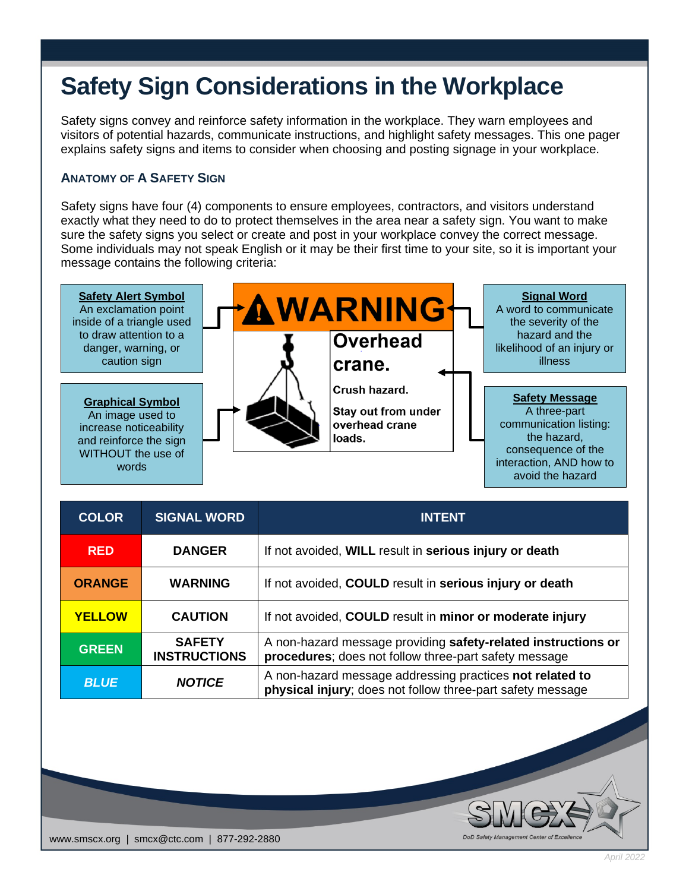# **Safety Sign Considerations in the Workplace**

Safety signs convey and reinforce safety information in the workplace. They warn employees and visitors of potential hazards, communicate instructions, and highlight safety messages. This one pager explains safety signs and items to consider when choosing and posting signage in your workplace.

#### **ANATOMY OF A SAFETY SIGN**

Safety signs have four (4) components to ensure employees, contractors, and visitors understand exactly what they need to do to protect themselves in the area near a safety sign. You want to make sure the safety signs you select or create and post in your workplace convey the correct message. Some individuals may not speak English or it may be their first time to your site, so it is important your message contains the following criteria: